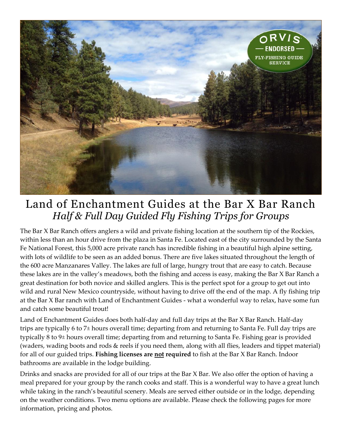

## Land of Enchantment Guides at the Bar X Bar Ranch *Half & Full Day Guided Fly Fishing Trips for Groups*

The Bar X Bar Ranch offers anglers a wild and private fishing location at the southern tip of the Rockies, within less than an hour drive from the plaza in Santa Fe. Located east of the city surrounded by the Santa Fe National Forest, this 5,000 acre private ranch has incredible fishing in a beautiful high alpine setting, with lots of wildlife to be seen as an added bonus. There are five lakes situated throughout the length of the 600 acre Manzanares Valley. The lakes are full of large, hungry trout that are easy to catch. Because these lakes are in the valley's meadows, both the fishing and access is easy, making the Bar X Bar Ranch a great destination for both novice and skilled anglers. This is the perfect spot for a group to get out into wild and rural New Mexico countryside, without having to drive off the end of the map. A fly fishing trip at the Bar X Bar ranch with Land of Enchantment Guides - what a wonderful way to relax, have some fun and catch some beautiful trout!

Land of Enchantment Guides does both half-day and full day trips at the Bar X Bar Ranch. Half-day trips are typically 6 to 7± hours overall time; departing from and returning to Santa Fe. Full day trips are typically 8 to 9± hours overall time; departing from and returning to Santa Fe. Fishing gear is provided (waders, wading boots and rods & reels if you need them, along with all flies, leaders and tippet material) for all of our guided trips. **Fishing licenses are not required** to fish at the Bar X Bar Ranch. Indoor bathrooms are available in the lodge building.

Drinks and snacks are provided for all of our trips at the Bar X Bar. We also offer the option of having a meal prepared for your group by the ranch cooks and staff. This is a wonderful way to have a great lunch while taking in the ranch's beautiful scenery. Meals are served either outside or in the lodge, depending on the weather conditions. Two menu options are available. Please check the following pages for more information, pricing and photos.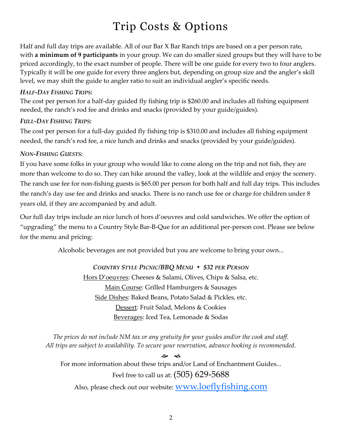# Trip Costs & Options

Half and full day trips are available. All of our Bar X Bar Ranch trips are based on a per person rate, with **a minimum of 9 participants** in your group. We can do smaller sized groups but they will have to be priced accordingly, to the exact number of people. There will be one guide for every two to four anglers. Typically it will be one guide for every three anglers but, depending on group size and the angler's skill level, we may shift the guide to angler ratio to suit an individual angler's specific needs.

#### *HALF-DAY FISHING TRIPS:*

The cost per person for a half-day guided fly fishing trip is \$260.00 and includes all fishing equipment needed, the ranch's rod fee and drinks and snacks (provided by your guide/guides).

#### *FULL-DAY FISHING TRIPS:*

The cost per person for a full-day guided fly fishing trip is \$310.00 and includes all fishing equipment needed, the ranch's rod fee, a nice lunch and drinks and snacks (provided by your guide/guides).

#### *NON-FISHING GUESTS:*

If you have some folks in your group who would like to come along on the trip and not fish, they are more than welcome to do so. They can hike around the valley, look at the wildlife and enjoy the scenery. The ranch use fee for non-fishing guests is \$65.00 per person for both half and full day trips. This includes the ranch's day use fee and drinks and snacks. There is no ranch use fee or charge for children under 8 years old, if they are accompanied by and adult.

Our full day trips include an nice lunch of hors d'oeuvres and cold sandwiches. We offer the option of "upgrading" the menu to a Country Style Bar-B-Que for an additional per-person cost. Please see below for the menu and pricing:

Alcoholic beverages are not provided but you are welcome to bring your own...

### *COUNTRY STYLE PICNIC/BBQ MENU • \$32 PER PERSON* Hors D'oeuvres: Cheeses & Salami, Olives, Chips & Salsa, etc. Main Course: Grilled Hamburgers & Sausages Side Dishes: Baked Beans, Potato Salad & Pickles, etc. Dessert: Fruit Salad, Melons & Cookies Beverages: Iced Tea, Lemonade & Sodas

*The prices do not include NM tax or any gratuity for your guides and/or the cook and staff. All trips are subject to availability. To secure your reservation, advance booking is recommended.*

**مئ** For more information about these trips and/or Land of Enchantment Guides... Feel free to call us at: (505) 629-5688 Also, please check out our website: [www.loeflyfishing.com](http://www.loeflyfishing.com)